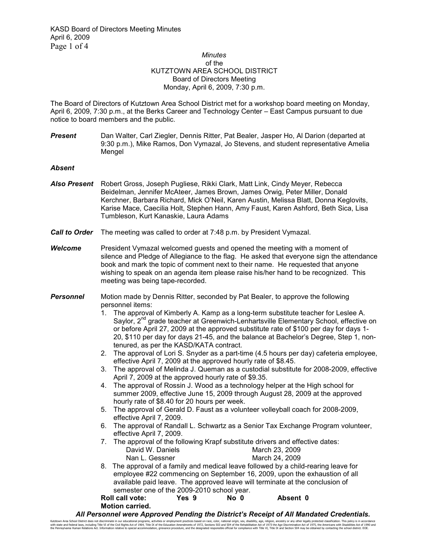## *Minutes*  of the KUTZTOWN AREA SCHOOL DISTRICT Board of Directors Meeting Monday, April 6, 2009, 7:30 p.m.

The Board of Directors of Kutztown Area School District met for a workshop board meeting on Monday, April 6, 2009, 7:30 p.m., at the Berks Career and Technology Center – East Campus pursuant to due notice to board members and the public.

**Present** Dan Walter, Carl Ziegler, Dennis Ritter, Pat Bealer, Jasper Ho, Al Darion (departed at 9:30 p.m.), Mike Ramos, Don Vymazal, Jo Stevens, and student representative Amelia Mengel

## *Absent*

- *Also Present* Robert Gross, Joseph Pugliese, Rikki Clark, Matt Link, Cindy Meyer, Rebecca Beidelman, Jennifer McAteer, James Brown, James Orwig, Peter Miller, Donald Kerchner, Barbara Richard, Mick O'Neil, Karen Austin, Melissa Blatt, Donna Keglovits, Karise Mace, Caecilia Holt, Stephen Hann, Amy Faust, Karen Ashford, Beth Sica, Lisa Tumbleson, Kurt Kanaskie, Laura Adams
- *Call to Order* The meeting was called to order at 7:48 p.m. by President Vymazal.
- *Welcome* President Vymazal welcomed guests and opened the meeting with a moment of silence and Pledge of Allegiance to the flag. He asked that everyone sign the attendance book and mark the topic of comment next to their name. He requested that anyone wishing to speak on an agenda item please raise his/her hand to be recognized. This meeting was being tape-recorded.
- **Personnel** Motion made by Dennis Ritter, seconded by Pat Bealer, to approve the following personnel items:
	- 1. The approval of Kimberly A. Kamp as a long-term substitute teacher for Leslee A. Saylor, 2<sup>nd</sup> grade teacher at Greenwich-Lenhartsville Elementary School, effective on or before April 27, 2009 at the approved substitute rate of \$100 per day for days 1- 20, \$110 per day for days 21-45, and the balance at Bachelor's Degree, Step 1, nontenured, as per the KASD/KATA contract.
	- 2. The approval of Lori S. Snyder as a part-time (4.5 hours per day) cafeteria employee, effective April 7, 2009 at the approved hourly rate of \$8.45.
	- 3. The approval of Melinda J. Queman as a custodial substitute for 2008-2009, effective April 7, 2009 at the approved hourly rate of \$9.35.
	- 4. The approval of Rossin J. Wood as a technology helper at the High school for summer 2009, effective June 15, 2009 through August 28, 2009 at the approved hourly rate of \$8.40 for 20 hours per week.
	- 5. The approval of Gerald D. Faust as a volunteer volleyball coach for 2008-2009, effective April 7, 2009.
	- 6. The approval of Randall L. Schwartz as a Senior Tax Exchange Program volunteer, effective April 7, 2009.
	- 7. The approval of the following Krapf substitute drivers and effective dates: David W. Daniels March 23, 2009 Nan L. Gessner March 24, 2009
	- 8. The approval of a family and medical leave followed by a child-rearing leave for employee #22 commencing on September 16, 2009, upon the exhaustion of all available paid leave. The approved leave will terminate at the conclusion of semester one of the 2009-2010 school year.

| <b>Roll call vote:</b> | Yes 9 | No 0 | Absent 0 |
|------------------------|-------|------|----------|
| <b>Motion carried.</b> |       |      |          |

*All Personnel were Approved Pending the District's Receipt of All Mandated Credentials.*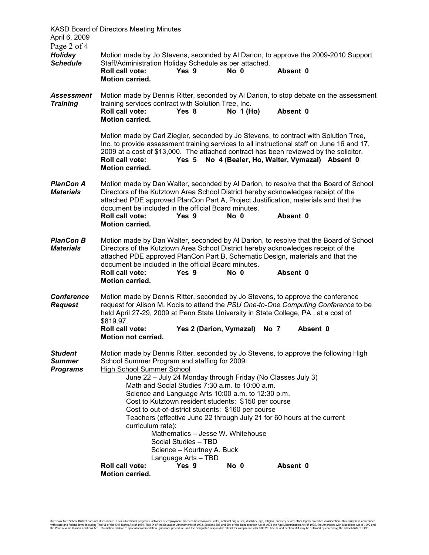| April 6, 2009<br>Page 2 of 4                       | KASD Board of Directors Meeting Minutes                                                                                                                                                                                                                                                                                                                                      |                                                                                                                         |                                                                                                                                                                                                                                                                                            |                                                                                     |  |
|----------------------------------------------------|------------------------------------------------------------------------------------------------------------------------------------------------------------------------------------------------------------------------------------------------------------------------------------------------------------------------------------------------------------------------------|-------------------------------------------------------------------------------------------------------------------------|--------------------------------------------------------------------------------------------------------------------------------------------------------------------------------------------------------------------------------------------------------------------------------------------|-------------------------------------------------------------------------------------|--|
| <b>Holiday</b><br><b>Schedule</b>                  | Motion made by Jo Stevens, seconded by AI Darion, to approve the 2009-2010 Support<br>Staff/Administration Holiday Schedule as per attached.<br><b>Roll call vote:</b><br><b>Motion carried.</b>                                                                                                                                                                             | Yes 9                                                                                                                   | $No$ $0$                                                                                                                                                                                                                                                                                   | Absent 0                                                                            |  |
| <b>Assessment</b><br><b>Training</b>               | Motion made by Dennis Ritter, seconded by Al Darion, to stop debate on the assessment<br>training services contract with Solution Tree, Inc.<br>Roll call vote:<br><b>Motion carried.</b>                                                                                                                                                                                    | Yes 8                                                                                                                   | No 1 (Ho)                                                                                                                                                                                                                                                                                  | Absent 0                                                                            |  |
|                                                    | Motion made by Carl Ziegler, seconded by Jo Stevens, to contract with Solution Tree,<br>Inc. to provide assessment training services to all instructional staff on June 16 and 17,<br>2009 at a cost of \$13,000. The attached contract has been reviewed by the solicitor.<br><b>Roll call vote:</b><br><b>Motion carried.</b>                                              |                                                                                                                         |                                                                                                                                                                                                                                                                                            | Yes 5 No 4 (Bealer, Ho, Walter, Vymazal) Absent 0                                   |  |
| <b>PlanCon A</b><br><b>Materials</b>               | Motion made by Dan Walter, seconded by Al Darion, to resolve that the Board of School<br>Directors of the Kutztown Area School District hereby acknowledges receipt of the<br>attached PDE approved PlanCon Part A, Project Justification, materials and that the<br>document be included in the official Board minutes.<br><b>Roll call vote:</b><br><b>Motion carried.</b> | Yes 9                                                                                                                   | No 0                                                                                                                                                                                                                                                                                       | Absent 0                                                                            |  |
| <b>PlanCon B</b><br><b>Materials</b>               | Motion made by Dan Walter, seconded by AI Darion, to resolve that the Board of School<br>Directors of the Kutztown Area School District hereby acknowledges receipt of the<br>attached PDE approved PlanCon Part B, Schematic Design, materials and that the<br>document be included in the official Board minutes.<br><b>Roll call vote:</b><br><b>Motion carried.</b>      | Yes 9                                                                                                                   | No 0                                                                                                                                                                                                                                                                                       | Absent 0                                                                            |  |
| <b>Conference</b><br><b>Request</b>                | Motion made by Dennis Ritter, seconded by Jo Stevens, to approve the conference<br>request for Alison M. Kocis to attend the PSU One-to-One Computing Conference to be<br>held April 27-29, 2009 at Penn State University in State College, PA, at a cost of<br>\$819.97.<br><b>Roll call vote:</b><br><b>Motion not carried.</b>                                            | Yes 2 (Darion, Vymazal)                                                                                                 | No 7                                                                                                                                                                                                                                                                                       | Absent 0                                                                            |  |
| <b>Student</b><br><b>Summer</b><br><b>Programs</b> | Motion made by Dennis Ritter, seconded by Jo Stevens, to approve the following High<br>School Summer Program and staffing for 2009:<br><b>High School Summer School</b><br>curriculum rate):<br><b>Roll call vote:</b>                                                                                                                                                       | Mathematics - Jesse W. Whitehouse<br>Social Studies - TBD<br>Science - Kourtney A. Buck<br>Language Arts - TBD<br>Yes 9 | June 22 - July 24 Monday through Friday (No Classes July 3)<br>Math and Social Studies 7:30 a.m. to 10:00 a.m.<br>Science and Language Arts 10:00 a.m. to 12:30 p.m.<br>Cost to Kutztown resident students: \$150 per course<br>Cost to out-of-district students: \$160 per course<br>No 0 | Teachers (effective June 22 through July 21 for 60 hours at the current<br>Absent 0 |  |
|                                                    | Motion carried.                                                                                                                                                                                                                                                                                                                                                              |                                                                                                                         |                                                                                                                                                                                                                                                                                            |                                                                                     |  |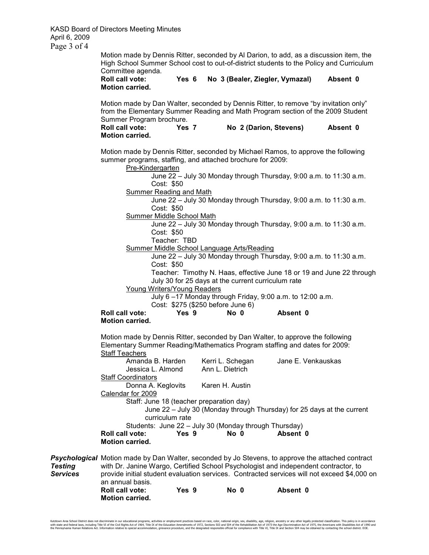Motion made by Dennis Ritter, seconded by Al Darion, to add, as a discussion item, the High School Summer School cost to out-of-district students to the Policy and Curriculum Committee agenda.

## **Roll call vote: Yes 6 No 3 (Bealer, Ziegler, Vymazal) Absent 0**  **Motion carried.**

Motion made by Dan Walter, seconded by Dennis Ritter, to remove "by invitation only" from the Elementary Summer Reading and Math Program section of the 2009 Student Summer Program brochure.

**Roll call vote: Yes 7 No 2 (Darion, Stevens) Absent 0 Motion carried.** 

Motion made by Dennis Ritter, seconded by Michael Ramos, to approve the following summer programs, staffing, and attached brochure for 2009:

Pre-Kindergarten

 June 22 – July 30 Monday through Thursday, 9:00 a.m. to 11:30 a.m. Cost: \$50

Summer Reading and Math

 June 22 – July 30 Monday through Thursday, 9:00 a.m. to 11:30 a.m. Cost: \$50

Summer Middle School Math

 June 22 – July 30 Monday through Thursday, 9:00 a.m. to 11:30 a.m. Cost: \$50

Teacher: TBD

Summer Middle School Language Arts/Reading

 June 22 – July 30 Monday through Thursday, 9:00 a.m. to 11:30 a.m. Cost: \$50

Teacher: Timothy N. Haas, effective June 18 or 19 and June 22 through July 30 for 25 days at the current curriculum rate

Young Writers/Young Readers

July 6 –17 Monday through Friday, 9:00 a.m. to 12:00 a.m.

Cost: \$275 (\$250 before June 6)

| <b>Roll call vote:</b> | Yes 9 | No 0 | Absent 0 |
|------------------------|-------|------|----------|
| <b>Motion carried.</b> |       |      |          |

Motion made by Dennis Ritter, seconded by Dan Walter, to approve the following Elementary Summer Reading/Mathematics Program staffing and dates for 2009: Staff Teachers

| Amanda B. Harden          |                                                       | Kerri L. Schegan | Jane E. Venkauskas                                                     |  |
|---------------------------|-------------------------------------------------------|------------------|------------------------------------------------------------------------|--|
| Jessica L. Almond         |                                                       | Ann L. Dietrich  |                                                                        |  |
| <b>Staff Coordinators</b> |                                                       |                  |                                                                        |  |
| Donna A. Keglovits        |                                                       | Karen H. Austin  |                                                                        |  |
| Calendar for 2009         |                                                       |                  |                                                                        |  |
|                           | Staff: June 18 (teacher preparation day)              |                  |                                                                        |  |
|                           |                                                       |                  | June 22 – July 30 (Monday through Thursday) for 25 days at the current |  |
|                           | curriculum rate                                       |                  |                                                                        |  |
|                           | Students: June 22 - July 30 (Monday through Thursday) |                  |                                                                        |  |
| <b>Roll call vote:</b>    | Yes 9                                                 | No 0             | Absent 0                                                               |  |
| <b>Motion carried.</b>    |                                                       |                  |                                                                        |  |

**Psychological** Motion made by Dan Walter, seconded by Jo Stevens, to approve the attached contract *Testing* with Dr. Janine Wargo, Certified School Psychologist and independent contractor, to *Services* provide initial student evaluation services. Contracted services will not exceed \$4,000 on an annual basis. **Roll call vote: Yes 9 No 0 Absent 0**  **Motion carried.** 

Kutzown Area School District does not discrimate in our educational programs, activities or employment practices based on race, color, national origin, sex, disability, ge, religion, ances, or any other legally protected d man Relations Act, Information relative to special accommodation, grievance procedure, and the designated responsible official for compliance with Title VI. Title IX and Section 504 may be obtained by contacting the school